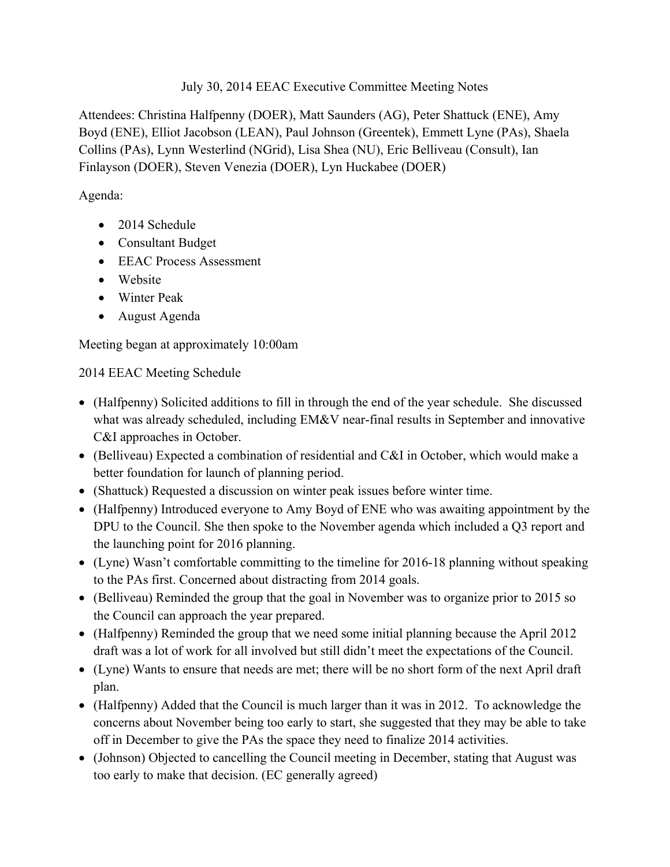#### July 30, 2014 EEAC Executive Committee Meeting Notes

Attendees: Christina Halfpenny (DOER), Matt Saunders (AG), Peter Shattuck (ENE), Amy Boyd (ENE), Elliot Jacobson (LEAN), Paul Johnson (Greentek), Emmett Lyne (PAs), Shaela Collins (PAs), Lynn Westerlind (NGrid), Lisa Shea (NU), Eric Belliveau (Consult), Ian Finlayson (DOER), Steven Venezia (DOER), Lyn Huckabee (DOER)

### Agenda:

- 2014 Schedule
- Consultant Budget
- EEAC Process Assessment
- Website
- Winter Peak
- August Agenda

Meeting began at approximately 10:00am

# 2014 EEAC Meeting Schedule

- (Halfpenny) Solicited additions to fill in through the end of the year schedule. She discussed what was already scheduled, including EM&V near-final results in September and innovative C&I approaches in October.
- (Belliveau) Expected a combination of residential and C&I in October, which would make a better foundation for launch of planning period.
- (Shattuck) Requested a discussion on winter peak issues before winter time.
- (Halfpenny) Introduced everyone to Amy Boyd of ENE who was awaiting appointment by the DPU to the Council. She then spoke to the November agenda which included a Q3 report and the launching point for 2016 planning.
- (Lyne) Wasn't comfortable committing to the timeline for 2016-18 planning without speaking to the PAs first. Concerned about distracting from 2014 goals.
- (Belliveau) Reminded the group that the goal in November was to organize prior to 2015 so the Council can approach the year prepared.
- (Halfpenny) Reminded the group that we need some initial planning because the April 2012 draft was a lot of work for all involved but still didn't meet the expectations of the Council.
- (Lyne) Wants to ensure that needs are met; there will be no short form of the next April draft plan.
- (Halfpenny) Added that the Council is much larger than it was in 2012. To acknowledge the concerns about November being too early to start, she suggested that they may be able to take off in December to give the PAs the space they need to finalize 2014 activities.
- (Johnson) Objected to cancelling the Council meeting in December, stating that August was too early to make that decision. (EC generally agreed)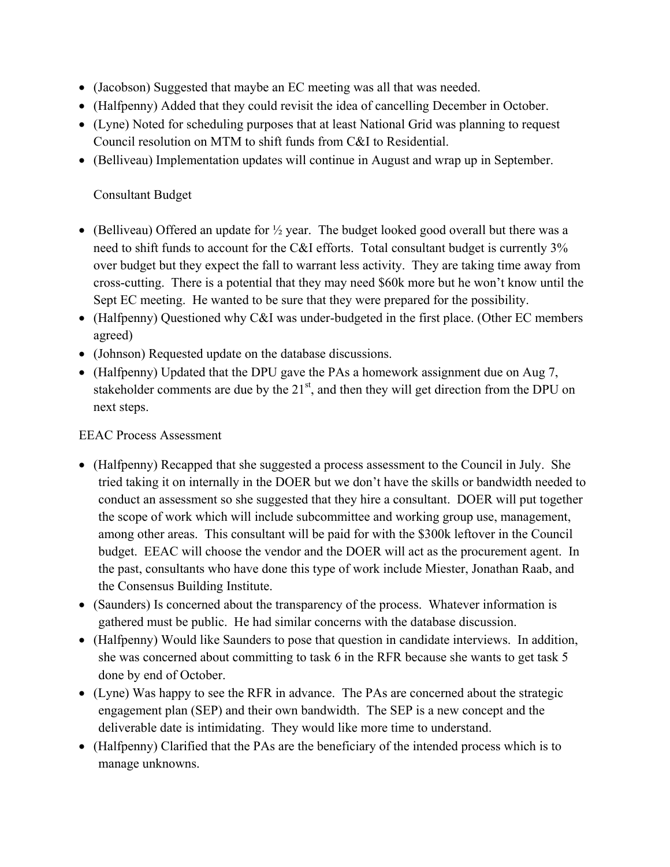- (Jacobson) Suggested that maybe an EC meeting was all that was needed.
- (Halfpenny) Added that they could revisit the idea of cancelling December in October.
- (Lyne) Noted for scheduling purposes that at least National Grid was planning to request Council resolution on MTM to shift funds from C&I to Residential.
- (Belliveau) Implementation updates will continue in August and wrap up in September.

## Consultant Budget

- (Belliveau) Offered an update for  $\frac{1}{2}$  year. The budget looked good overall but there was a need to shift funds to account for the C&I efforts. Total consultant budget is currently 3% over budget but they expect the fall to warrant less activity. They are taking time away from cross-cutting. There is a potential that they may need \$60k more but he won't know until the Sept EC meeting. He wanted to be sure that they were prepared for the possibility.
- (Halfpenny) Questioned why C&I was under-budgeted in the first place. (Other EC members agreed)
- (Johnson) Requested update on the database discussions.
- (Halfpenny) Updated that the DPU gave the PAs a homework assignment due on Aug 7, stakeholder comments are due by the  $21<sup>st</sup>$ , and then they will get direction from the DPU on next steps.

### EEAC Process Assessment

- (Halfpenny) Recapped that she suggested a process assessment to the Council in July. She tried taking it on internally in the DOER but we don't have the skills or bandwidth needed to conduct an assessment so she suggested that they hire a consultant. DOER will put together the scope of work which will include subcommittee and working group use, management, among other areas. This consultant will be paid for with the \$300k leftover in the Council budget. EEAC will choose the vendor and the DOER will act as the procurement agent. In the past, consultants who have done this type of work include Miester, Jonathan Raab, and the Consensus Building Institute.
- (Saunders) Is concerned about the transparency of the process. Whatever information is gathered must be public. He had similar concerns with the database discussion.
- (Halfpenny) Would like Saunders to pose that question in candidate interviews. In addition, she was concerned about committing to task 6 in the RFR because she wants to get task 5 done by end of October.
- (Lyne) Was happy to see the RFR in advance. The PAs are concerned about the strategic engagement plan (SEP) and their own bandwidth. The SEP is a new concept and the deliverable date is intimidating. They would like more time to understand.
- (Halfpenny) Clarified that the PAs are the beneficiary of the intended process which is to manage unknowns.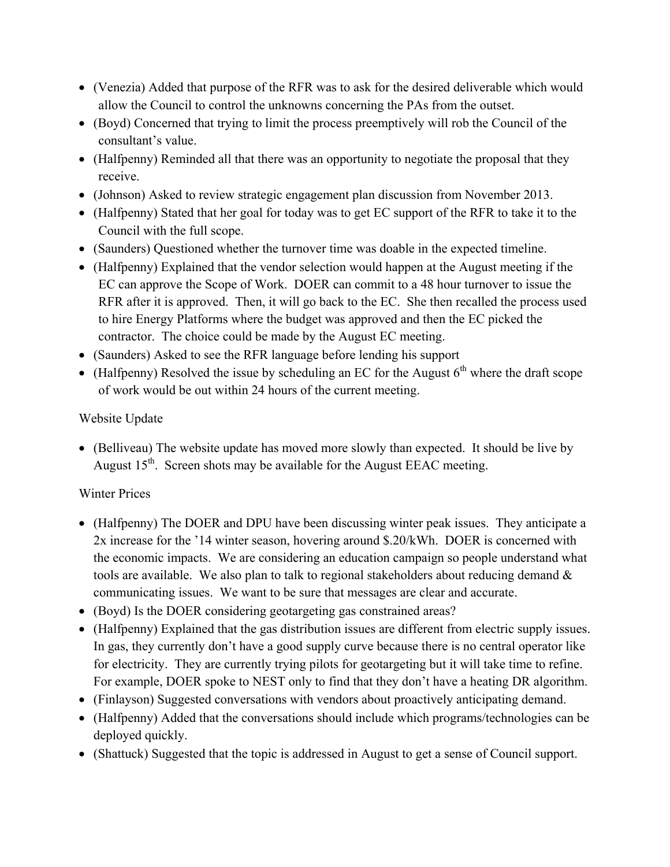- (Venezia) Added that purpose of the RFR was to ask for the desired deliverable which would allow the Council to control the unknowns concerning the PAs from the outset.
- (Boyd) Concerned that trying to limit the process preemptively will rob the Council of the consultant's value.
- (Halfpenny) Reminded all that there was an opportunity to negotiate the proposal that they receive.
- (Johnson) Asked to review strategic engagement plan discussion from November 2013.
- (Halfpenny) Stated that her goal for today was to get EC support of the RFR to take it to the Council with the full scope.
- (Saunders) Questioned whether the turnover time was doable in the expected timeline.
- (Halfpenny) Explained that the vendor selection would happen at the August meeting if the EC can approve the Scope of Work. DOER can commit to a 48 hour turnover to issue the RFR after it is approved. Then, it will go back to the EC. She then recalled the process used to hire Energy Platforms where the budget was approved and then the EC picked the contractor. The choice could be made by the August EC meeting.
- (Saunders) Asked to see the RFR language before lending his support
- (Halfpenny) Resolved the issue by scheduling an EC for the August  $6<sup>th</sup>$  where the draft scope of work would be out within 24 hours of the current meeting.

### Website Update

 (Belliveau) The website update has moved more slowly than expected. It should be live by August  $15<sup>th</sup>$ . Screen shots may be available for the August EEAC meeting.

### Winter Prices

- (Halfpenny) The DOER and DPU have been discussing winter peak issues. They anticipate a 2x increase for the '14 winter season, hovering around \$.20/kWh. DOER is concerned with the economic impacts. We are considering an education campaign so people understand what tools are available. We also plan to talk to regional stakeholders about reducing demand  $\&$ communicating issues. We want to be sure that messages are clear and accurate.
- (Boyd) Is the DOER considering geotargeting gas constrained areas?
- (Halfpenny) Explained that the gas distribution issues are different from electric supply issues. In gas, they currently don't have a good supply curve because there is no central operator like for electricity. They are currently trying pilots for geotargeting but it will take time to refine. For example, DOER spoke to NEST only to find that they don't have a heating DR algorithm.
- (Finlayson) Suggested conversations with vendors about proactively anticipating demand.
- (Halfpenny) Added that the conversations should include which programs/technologies can be deployed quickly.
- (Shattuck) Suggested that the topic is addressed in August to get a sense of Council support.